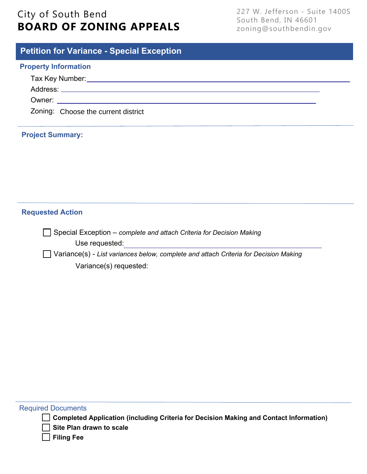# City of South Bend **BOARD OF ZONING APPEALS**

227 W. Jefferson - Suite 1400S South Bend, IN 46601 zoning@southbendin.gov

# **Petition for Variance - Special Exception**

#### **Property Information**

|  | Zoning: Choose the current district |  |
|--|-------------------------------------|--|

### **Project Summary:**

### **Requested Action**

Special Exception – *complete and attach Criteria for Decision Making* Use requested:

Variance(s) - *List variances below, complete and attach Criteria for Decision Making* Variance(s) requested:

#### Required Documents

**Completed Application (including Criteria for Decision Making and Contact Information)** 

**Site Plan drawn to scale** 

**Filing Fee**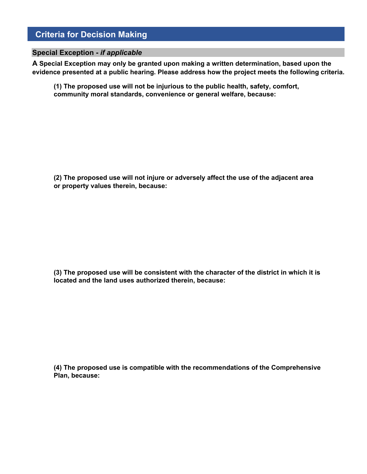### **Criteria for Decision Making**

#### **Special Exception -** *if applicable*

**A Special Exception may only be granted upon making a written determination, based upon the evidence presented at a public hearing. Please address how the project meets the following criteria.**

**(1) The proposed use will not be injurious to the public health, safety, comfort, community moral standards, convenience or general welfare, because:**

**(2) The proposed use will not injure or adversely affect the use of the adjacent area or property values therein, because:**

**(3) The proposed use will be consistent with the character of the district in which it is located and the land uses authorized therein, because:**

**(4) The proposed use is compatible with the recommendations of the Comprehensive Plan, because:**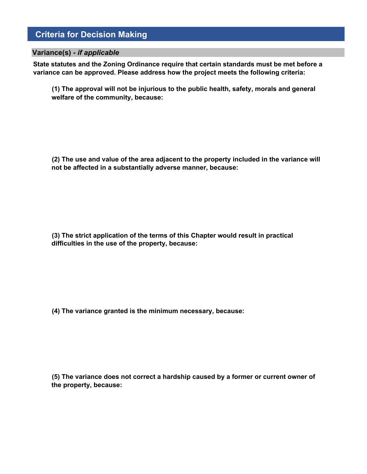### **Criteria for Decision Making**

#### **Variance(s) -** *if applicable*

**State statutes and the Zoning Ordinance require that certain standards must be met before a variance can be approved. Please address how the project meets the following criteria:** 

**(1) The approval will not be injurious to the public health, safety, morals and general welfare of the community, because:**

**(2) The use and value of the area adjacent to the property included in the variance will not be affected in a substantially adverse manner, because:**

**(3) The strict application of the terms of this Chapter would result in practical difficulties in the use of the property, because:**

**(4) The variance granted is the minimum necessary, because:**

**(5) The variance does not correct a hardship caused by a former or current owner of the property, because:**